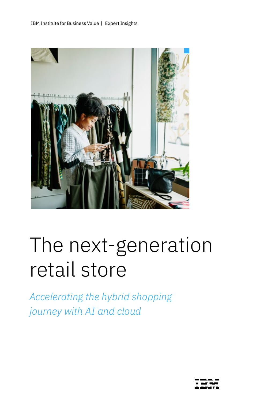

# The next-generation retail store

*Accelerating the hybrid shopping journey with AI and cloud*

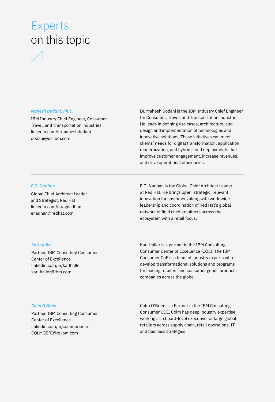## Experts on this topic



### *Mahesh Dodani, Ph.D.*

IBM Industry Chief Engineer, Consumer, Travel, and Transportation industries [linkedin.com/in/maheshdodani](http://linkedin.com/in/maheshdodani) [dodani@us.ibm.com](mailto:dodani@us.ibm.com)

Dr. Mahesh Dodani is the IBM Industry Chief Engineer for Consumer, Travel, and Transportation industries. He leads in defining use cases, architecture, and design and implementation of technologies and innovative solutions. These initiatives can meet clients' needs for digital transformation, application modernization, and hybrid cloud deployments that improve customer engagement, increase revenues, and drive operational efficiencies.

### *E.G. Nadhan*

Global Chief Architect Leader and Strategist, Red Hat [linkedin.com/in/egnadhan](https://www.linkedin.com/in/egnadhan) [enadhan@redhat.com](mailto:enadhan@redhat.com)

E.G. Nadhan is the Global Chief Architect Leader at Red Hat. He brings open, strategic, relevant innovation for customers along with worldwide leadership and coordination of Red Hat's global network of field chief architects across the ecosystem with a retail focus.

### *Karl Haller*

Partner, IBM Consulting Consumer Center of Excellence [linkedin.com/in/karlhaller](https://www.linkedin.com/in/karlhaller) [karl.haller@ibm.com](mailto:karl.haller@ibm.com)

Karl Haller is a partner in the IBM Consulting Consumer Center of Excellence (COE). The IBM Consumer CoE is a team of industry experts who develop transformational solutions and programs for leading retailers and consumer goods products companies across the globe.

### *Colm O'Brien*

Partner, IBM Consulting Consumer Center of Excellence [linkedin.com/in/colmobrienire](https://www.linkedin.com/in/colmobrienire) [COLMOBRI@ie.ibm.com](mailto:COLMOBRI@ie.ibm.com)

Colm O'Brien is a Partner in the IBM Consulting Consumer COE. Colm has deep industry expertise working as a board-level executive for large global retailers across supply chain, retail operations, IT, and business strategies.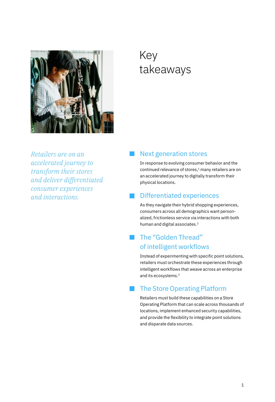

## Key takeaways

*Retailers are on an accelerated journey to transform their stores and deliver differentiated consumer experiences and interactions.*

### Next generation stores

In response to evolving consumer behavior and the continued relevance of stores,<sup>1</sup> many retailers are on an accelerated journey to digitally transform their physical locations.

### Differentiated experiences

As they navigate their hybrid shopping experiences, consumers across all demographics want personalized, frictionless service via interactions with both human and digital associates.<sup>2</sup>

### The "Golden Thread" of intelligent workflows

Instead of experimenting with specific point solutions, retailers must orchestrate these experiences through intelligent workflows that weave across an enterprise and its ecosystems.3

### The Store Operating Platform

Retailers must build these capabilities on a Store Operating Platform that can scale across thousands of locations, implement enhanced security capabilities, and provide the flexibility to integrate point solutions and disparate data sources.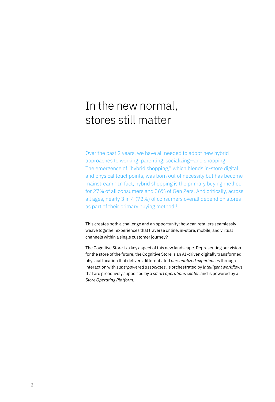## In the new normal, stores still matter

Over the past 2 years, we have all needed to adopt new hybrid approaches to working, parenting, socializing—and shopping. The emergence of "hybrid shopping," which blends in-store digital and physical touchpoints, was born out of necessity but has become mainstream.4 In fact, hybrid shopping is the primary buying method for 27% of all consumers and 36% of Gen Zers. And critically, across all ages, nearly 3 in 4 (72%) of consumers overall depend on stores as part of their primary buying method.<sup>5</sup>

This creates both a challenge and an opportunity: how can retailers seamlessly weave together experiences that traverse online, in-store, mobile, and virtual channels within a single customer journey?

The Cognitive Store is a key aspect of this new landscape. Representing our vision for the store of the future, the Cognitive Store is an AI-driven digitally transformed physical location that delivers differentiated *personalized experiences* through interaction with *superpowered associates*, is orchestrated by *intelligent workflows* that are proactively supported by a *smart operations center*, and is powered by a *Store Operating Platform*.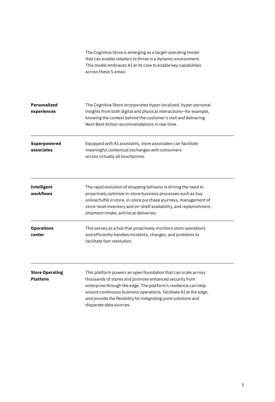|                                           | The Cognitive Store is emerging as a target operating model<br>that can enable retailers to thrive in a dynamic environment.<br>This model embraces AI at its core to enable key capabilities<br>across these 5 areas:                                                                                                                                        |
|-------------------------------------------|---------------------------------------------------------------------------------------------------------------------------------------------------------------------------------------------------------------------------------------------------------------------------------------------------------------------------------------------------------------|
| <b>Personalized</b><br>experiences        | The Cognitive Store incorporates hyper-localized, hyper-personal<br>insights from both digital and physical interactions-for example,<br>knowing the context behind the customer's visit and delivering<br>Next Best Action recommendations in real time.                                                                                                     |
| <b>Superpowered</b><br>associates         | Equipped with AI assistants, store associates can facilitate<br>meaningful contextual exchanges with consumers<br>across virtually all touchpoints.                                                                                                                                                                                                           |
| <b>Intelligent</b><br>workflows           | The rapid evolution of shopping behavior is driving the need to<br>proactively optimize in-store business processes such as buy<br>online/fulfill in store, in-store purchase journeys, management of<br>store-level inventory and on-shelf availability, and replenishment,<br>shipment intake, and local deliveries.                                        |
| <b>Operations</b><br>center               | This serves as a hub that proactively monitors store operations<br>and efficiently handles incidents, changes, and problems to<br>facilitate fast resolution.                                                                                                                                                                                                 |
| <b>Store Operating</b><br><b>Platform</b> | This platform powers an open foundation that can scale across<br>thousands of stores and promote enhanced security from<br>enterprise through the edge. The platform's resilience can help<br>ensure continuous business operations, facilitate AI at the edge,<br>and provide the flexibility for integrating point solutions and<br>disparate data sources. |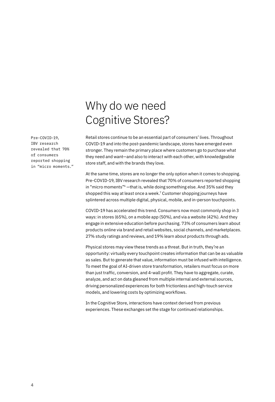### Pre-COVID-19, IBV research revealed that 70% of consumers reported shopping in "micro moments."

## Why do we need Cognitive Stores?

Retail stores continue to be an essential part of consumers' lives. Throughout COVID-19 and into the post-pandemic landscape, stores have emerged even stronger. They remain the primary place where customers go to purchase what they need and want—and also to interact with each other, with knowledgeable store staff, and with the brands they love.

At the same time, stores are no longer the only option when it comes to shopping. Pre-COVID-19, IBV research revealed that 70% of consumers reported shopping in "micro moments"<sup>6</sup> -that is, while doing something else. And 35% said they shopped this way at least once a week.7 Customer shopping journeys have splintered across multiple digital, physical, mobile, and in-person touchpoints.

COVID-19 has accelerated this trend. Consumers now most commonly shop in 3 ways: in stores (65%), on a mobile app (50%), and via a website (42%). And they engage in extensive education before purchasing. 73% of consumers learn about products online via brand and retail websites, social channels, and marketplaces. 27% study ratings and reviews, and 19% learn about products through ads.

Physical stores may view these trends as a threat. But in truth, they're an opportunity: virtually every touchpoint creates information that can be as valuable as sales. But to generate that value, information must be infused with intelligence. To meet the goal of AI-driven store transformation, retailers must focus on more than just traffic, conversion, and 4-wall profit. They have to aggregate, curate, analyze, and act on data gleaned from multiple internal and external sources, driving personalized experiences for both frictionless and high-touch service models, and lowering costs by optimizing workflows.

In the Cognitive Store, interactions have context derived from previous experiences. These exchanges set the stage for continued relationships.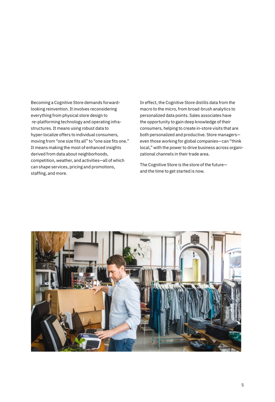Becoming a Cognitive Store demands forwardlooking reinvention. It involves reconsidering everything from physical store design to re-platforming technology and operating infrastructures. It means using robust data to hyper-localize offers to individual consumers, moving from "one size fits all" to "one size fits one." It means making the most of enhanced insights derived from data about neighborhoods, competition, weather, and activities—all of which can shape services, pricing and promotions, staffing, and more.

In effect, the Cognitive Store distills data from the macro to the micro, from broad-brush analytics to personalized data points. Sales associates have the opportunity to gain deep knowledge of their consumers, helping to create in-store visits that are both personalized and productive. Store managers even those working for global companies—can "think local," with the power to drive business across organizational channels in their trade area.

The Cognitive Store is the store of the future and the time to get started is now.

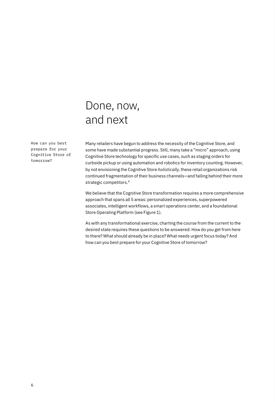## Done, now, and next

How can you best prepare for your Cognitive Store of tomorrow?

Many retailers have begun to address the necessity of the Cognitive Store, and some have made substantial progress. Still, many take a "micro" approach, using Cognitive Store technology for specific use cases, such as staging orders for curbside pickup or using automation and robotics for inventory counting. However, by not envisioning the Cognitive Store *holistically,* these retail organizations risk continued fragmentation of their business channels—and falling behind their more strategic competitors.<sup>8</sup>

We believe that the Cognitive Store transformation requires a more comprehensive approach that spans all 5 areas: personalized experiences, superpowered associates, intelligent workflows, a smart operations center, and a foundational Store Operating Platform (see Figure 1).

As with any transformational exercise, charting the course from the current to the desired state requires these questions to be answered: How do you get from here to there? What should already be in place? What needs urgent focus today? And how can you best prepare for your Cognitive Store of tomorrow?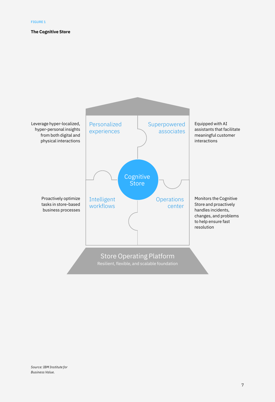### **The Cognitive Store**



*Source: IBM Institute for Business Value.*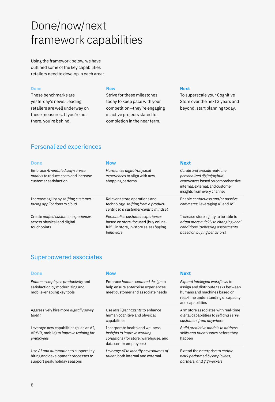## Done/now/next framework capabilities

Using the framework below, we have outlined some of the key capabilities retailers need to develop in each area:

### **Done**

These benchmarks are yesterday's news. Leading retailers are well underway on these measures. If you're not there, you're behind.

### **Now**

Strive for these milestones today to keep pace with your competition—they're engaging in active projects slated for completion in the near term.

### **Next**

To superscale your Cognitive Store over the next 3 years and beyond, start planning today.

### Personalized experiences

| <b>Done</b>                                                                                     | <b>Now</b>                                                                                                                       | <b>Next</b>                                                                                                                                                          |
|-------------------------------------------------------------------------------------------------|----------------------------------------------------------------------------------------------------------------------------------|----------------------------------------------------------------------------------------------------------------------------------------------------------------------|
| Embrace AI-enabled self-service<br>models to reduce costs and increase<br>customer satisfaction | Harmonize digital-physical<br>experiences to align with new<br>shopping patterns                                                 | Curate and execute real-time<br>personalized digital/hybrid<br>experiences based on comprehensive<br>internal, external, and customer<br>insights from every channel |
| Increase agility by shifting customer-<br>facing applications to cloud                          | Reinvent store operations and<br>technology, shifting from a product-<br>centric to a customer-centric mindset                   | Enable contactless and/or passive<br>commerce, leveraging AI and IoT                                                                                                 |
| Create unified customer experiences<br>across physical and digital<br>touchpoints               | Personalize customer experiences<br>based on store-focused (buy online-<br>fulfill in store, in-store sales) buying<br>behaviors | Increase store agility to be able to<br>adapt more quickly to changing local<br>conditions (delivering assortments<br>based on buying behaviors)                     |

### Superpowered associates

| <b>Done</b>                                                                                                 | <b>Now</b>                                                                                                                        | <b>Next</b>                                                                                                                                                       |
|-------------------------------------------------------------------------------------------------------------|-----------------------------------------------------------------------------------------------------------------------------------|-------------------------------------------------------------------------------------------------------------------------------------------------------------------|
| Enhance employee productivity and<br>satisfaction by modernizing and<br>mobile-enabling key tools           | Embrace human-centered design to<br>help ensure enterprise experiences<br>meet customer and associate needs                       | Expand intelligent workflows to<br>assign and distribute tasks between<br>humans and machines based on<br>real-time understanding of capacity<br>and capabilities |
| Aggressively hire more <i>digitally savvy</i><br>talent                                                     | Use <i>intelligent</i> agents to enhance<br>human cognitive and physical<br>capabilities                                          | Arm store associates with real-time<br>digital capabilities to sell and serve<br>customers from anywhere                                                          |
| Leverage new capabilities (such as AI,<br>AR/VR, mobile) to <i>improve training for</i><br>employees        | Incorporate health and wellness<br>insights to improve working<br>conditions (for store, warehouse, and<br>data center employees) | Build predictive models to address<br>skills and talent issues before they<br>happen                                                                              |
| Use AI and automation to support key<br>hiring and development processes to<br>support peak/holiday seasons | Leverage AI to identify new sources of<br>talent, both internal and external                                                      | Extend the enterprise to enable<br>work performed by employees,<br>partners, and gig workers                                                                      |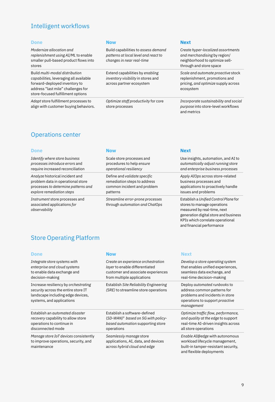### Intelligent workflows

*Modernize allocation and replenishment using AI/ML* to enable smaller pull-based product flows into stores

Build *multi-modal distribution capabilities,* leveraging all available forward-deployed inventory to address "last mile" challenges for store-focused fulfillment options

*Adapt* store fulfillment processes to align with customer buying behaviors.

Build capabilities to *assess demand patterns at local level and react to changes in near real-time* 

Extend capabilities by *enabling inventory visibility* in stores and across partner ecosystem

*Optimize staff productivity* for core store processes

### **Done Now Next**

*Create hyper-localized assortments and merchandising* by region/ neighborhood to optimize sellthrough and store space

*Scale and automate proactive* stock replenishment, promotions and pricing, *and optimize* supply across ecosystem

*Incorporate sustainability and social purpose* into store-level workflows and metrics

KPIs which correlate operational and financial performance

### Operations center

| <b>Done</b>                                                                    | Now                                                                | <b>Next</b>                                                                                                                                  |
|--------------------------------------------------------------------------------|--------------------------------------------------------------------|----------------------------------------------------------------------------------------------------------------------------------------------|
| Identify where store business                                                  | Scale store processes and                                          | Use insights, automation, and AI to                                                                                                          |
| processes introduce errors and                                                 | procedures to help ensure                                          | automatically adjust running store                                                                                                           |
| require increased reconciliation                                               | operational resiliency                                             | and enterprise business processes                                                                                                            |
| Analyze historical incident and                                                | Define and validate specific                                       | Apply AIOps across store-related                                                                                                             |
| problem data in operational store                                              | remediation steps to address                                       | business processes and                                                                                                                       |
| processes to determine patterns and                                            | common incident and problem                                        | applications to proactively handle                                                                                                           |
| explore remediation steps                                                      | patterns                                                           | issues and problems                                                                                                                          |
| Instrument store processes and<br>associated applications for<br>observability | Streamline error-prone processes<br>through automation and ChatOps | Establish a Unified Control Plane for<br>stores to manage operations<br>measured by real-time, next<br>generation digital store and business |

### Store Operating Platform

| <b>Done</b>                                                                                                                                   | <b>Now</b>                                                                                                                               | <b>Next</b>                                                                                                                                            |
|-----------------------------------------------------------------------------------------------------------------------------------------------|------------------------------------------------------------------------------------------------------------------------------------------|--------------------------------------------------------------------------------------------------------------------------------------------------------|
| Integrate store systems with<br>enterprise and cloud systems<br>to enable data exchange and<br>decision-making                                | Create an experience orchestration<br>layer to enable differentiated<br>customer and associate experiences<br>from multiple applications | Develop a store operating system<br>that enables unified experiences,<br>seamless data exchange, and<br>real-time decision-making                      |
| Increase resiliency by orchestrating<br>security across the entire store IT<br>landscape including edge devices,<br>systems, and applications | Establish Site Reliability Engineering<br>(SRE) to streamline store operations                                                           | Deploy automated runbooks to<br>address common patterns for<br>problems and incidents in store<br>operations to support <i>proactive</i><br>management |
| Establish an <i>gutomated disaster</i><br>recovery capability to allow store<br>operations to continue in<br>disconnected mode                | Establish a software-defined<br>$(SD-WAN)^9$ based on 5G with policy-<br>based automation supporting store<br>operations                 | Optimize traffic flow, performance,<br>and quality at the edge to support<br>real-time AI-driven insights across<br>all store operations               |
| Manage store IoT devices consistently<br>to improve operations, security, and<br>maintenance                                                  | Seamlessly manage store<br>applications, AI, data, and devices<br>across hybrid cloud and edge                                           | Enable AI@edge with autonomous<br>workload lifecycle management,<br>built-in tamper-resistant security,<br>and flexible deployments                    |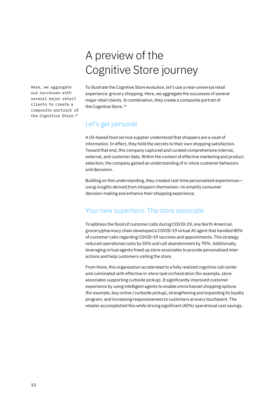## A preview of the Cognitive Store journey

Here, we aggregate our successes with several major retail clients to create a composite portrait of the Cognitive Store.10

To illustrate the Cognitive Store evolution, let's use a near-universal retail experience: grocery shopping. Here, we aggregate the successes of several major retail clients. In combination, they create a composite portrait of the Cognitive Store.<sup>10</sup>

### Let's get personal

A US-based food service supplier understood that shoppers are a vault of information. In effect, they hold the secrets to their own shopping satisfaction. Toward that end, this company captured and curated comprehensive internal, external, and customer data. Within the context of effective marketing and product selection, the company gained an understanding of in-store customer behaviors and decisions.

Building on this understanding, they created real-time personalized experiences *using insights derived from shoppers themselves—*to simplify consumer decision-making and enhance their shopping experience.

### Your new superhero: The store associate

To address the flood of customer calls during COVID-19, one North American grocery/pharmacy chain developed a COVID-19 virtual AI agent that handled 80% of customer calls regarding COVID-19 vaccines and appointments. This strategy reduced operational costs by 50% and call abandonment by 70%. Additionally, leveraging virtual agents freed up store associates to provide personalized interactions and help customers visiting the store.

From there, this organization accelerated to a fully realized cognitive call center and culminated with effective in-store task orchestration (for example, store associates supporting curbside pickup). It significantly improved customer experience by using intelligent agents to enable omnichannel shopping options (for example, buy online / curbside pickup), strengthening and expanding its loyalty program, and increasing responsiveness to customers at every touchpoint. The retailer accomplished this while driving significant (40%) operational cost savings.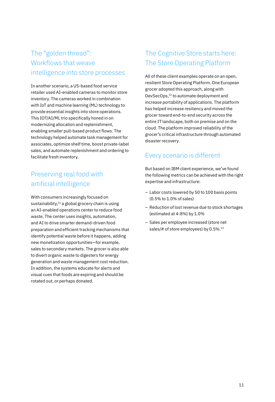### The "golden thread": Workflows that weave intelligence into store processes

In another scenario, a US-based food service retailer used AI-enabled cameras to monitor store inventory. The cameras worked in combination with IoT and machine learning (ML) technology to provide essential insights into store operations. This IOT/AI/ML trio specifically honed in on modernizing allocation and replenishment, enabling smaller pull-based product flows. The technology helped automate task management for associates, optimize shelf time, boost private-label sales, and automate replenishment and ordering to facilitate fresh inventory.

### Preserving real food with artificial intelligence

With consumers increasingly focused on sustainability, $11$  a global grocery chain is using an AI-enabled operations center to reduce food waste. The center uses insights, automation, and AI to drive smarter demand-driven food preparation and efficient tracking mechanisms that identify potential waste before it happens, adding new monetization opportunities—for example, sales to secondary markets. The grocer is also able to divert organic waste to digesters for energy generation and waste management cost reduction. In addition, the systems educate for alerts and visual cues that foods are expiring and should be rotated out, or perhaps donated.

### The Cognitive Store starts here: The Store Operating Platform

All of these client examples operate on an open, resilient Store Operating Platform. One European grocer adopted this approach, along with DevSecOps,12 to automate deployment and increase portability of applications. The platform has helped increase resiliency and moved the grocer toward end-to-end security across the entire IT landscape, both on premise and on the cloud. The platform improved reliability of the grocer's critical infrastructure through automated disaster recovery.

### Every scenario is different

But based on IBM client experience, we've found the following metrics can be achieved with the right expertise and infrastructure:

- Labor costs lowered by 50 to 100 basis points (0.5% to 1.0% of sales)
- Reduction of lost revenue due to stock shortages (estimated at 4-8%) by 1.0%
- Sales per employee increased (store net sales/# of store employees) by 0.5%.<sup>13</sup>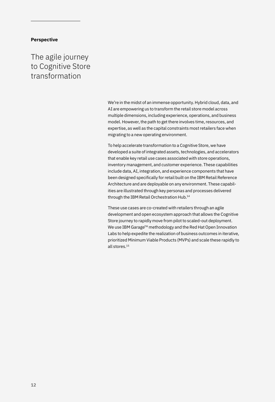### **Perspective**

The agile journey to Cognitive Store transformation

> We're in the midst of an immense opportunity. Hybrid cloud, data, and AI are empowering us to transform the retail store model across multiple dimensions, including experience, operations, and business model. However, the path to get there involves time, resources, and expertise, as well as the capital constraints most retailers face when migrating to a new operating environment.

> To help accelerate transformation to a Cognitive Store, we have developed a suite of integrated assets, technologies, and accelerators that enable key retail use cases associated with store operations, inventory management, and customer experience. These capabilities include data, AI, integration, and experience components that have been designed specifically for retail built on the IBM Retail Reference Architecture and are deployable on any environment. These capabilities are illustrated through key personas and processes delivered through the IBM Retail Orchestration Hub.<sup>14</sup>

> These use cases are co-created with retailers through an agile development and open ecosystem approach that allows the Cognitive Store journey to rapidly move from pilot to scaled-out deployment. We use IBM Garage™ methodology and the Red Hat Open Innovation Labs to help expedite the realization of business outcomes in iterative, prioritized Minimum Viable Products (MVPs) and scale these rapidly to all stores.15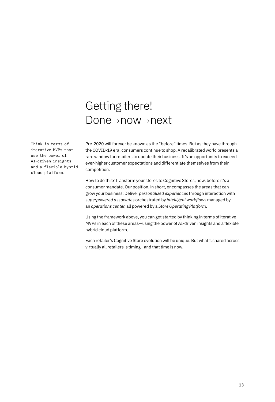## Getting there!  $Done \rightarrow now \rightarrow next$

Think in terms of iterative MVPs that use the power of AI-driven insights and a flexible hybrid cloud platform.

Pre-2020 will forever be known as the "before" times. But as they have through the COVID-19 era, consumers continue to shop. A recalibrated world presents a rare window for retailers to update their business. It's an opportunity to exceed ever-higher customer expectations and differentiate themselves from their competition.

How to do this? Transform your stores to Cognitive Stores, now, before it's a consumer mandate. Our position, in short, encompasses the areas that can grow your business: Deliver *personalized experiences* through interaction with *superpowered associates* orchestrated by *intelligent workflows* managed by an *operations center*, all powered by a *Store Operating Platform*.

Using the framework above, you can get started by thinking in terms of iterative MVPs in each of these areas—using the power of AI-driven insights and a flexible hybrid cloud platform.

Each retailer's Cognitive Store evolution will be unique. But what's shared across virtually all retailers is timing—and that time is now.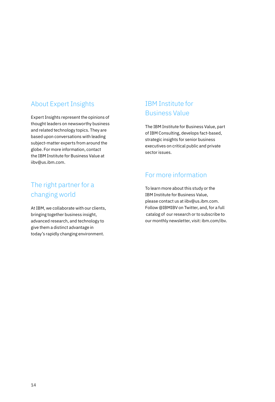### About Expert Insights

Expert Insights represent the opinions of thought leaders on newsworthy business and related technology topics. They are based upon conversations with leading subject-matter experts from around the globe. For more information, contact the IBM Institute for Business Value at [iibv@us.ibm.com.](mailto:iibv%40us.ibm.com?subject=)

### The right partner for a changing world

At IBM, we collaborate with our clients, bringing together business insight, advanced research, and technology to give them a distinct advantage in today's rapidly changing environment.

### IBM Institute for Business Value

The IBM Institute for Business Value, part of IBM Consulting, develops fact-based, strategic insights for senior business executives on critical public and private sector issues.

### For more information

To learn more about this study or the IBM Institute for Business Value, please contact us at [iibv@us.ibm.com](mailto:iibv@us.ibm.com). Follow [@IBMIBV](https://www.twitter.com/IBMIBV) on Twitter, and, for a full catalog of our research or to subscribe to our monthly newsletter, visit: [ibm.com/ibv](http://ibm.com/ibv).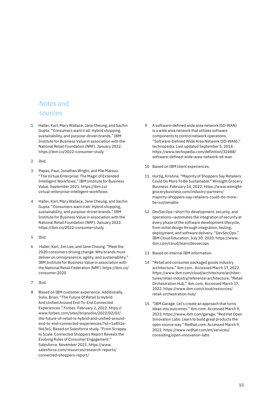### Notes and sources

- 1 Haller, Karl, Mary Wallace, Jane Cheung, and Sachin Gupta. "Consumers want it all: Hybrid shopping, sustainability, and purpose-driven brands." IBM Institute for Business Value in association with the National Retail Foundation (NRF). January 2022. <https://ibm.co/2022-consumer-study>
- 2 Ibid.
- 3 Papas, Paul, Jonathan Wright, and Mie Matsuo. "The Virtual Enterprise: The Magic of Extended Intelligent Workflows." IBM Institute for Business Value. September 2021. [https://ibm.co/](https://ibm.co/virtual-enterprise-intelligent-workflows) [virtual-enterprise-intelligent-workflows](https://ibm.co/virtual-enterprise-intelligent-workflows)
- 4 Haller, Karl, Mary Wallace, Jane Cheung, and Sachin Gupta. "Consumers want it all: Hybrid shopping, sustainability, and purpose-driven brands." IBM Institute for Business Value in association with the National Retail Foundation (NRF). January 2022. <https://ibm.co/2022-consumer-study>
- 5 Ibid.
- 6 Haller, Karl, Jim Lee, and Jane Cheung. "Meet the 2020 consumers driving change: Why brands must deliver on omnipresence, agility, and sustainability." IBM Institute for Business Value in association with the National Retail Federation (NRF). [https://ibm.co/](https://ibm.co/consumer-2020) [consumer-2020](https://ibm.co/consumer-2020)
- 7 Ibid.
- Based on IBM customer experience. Additionally, Solis, Brian. "The Future Of Retail Is Hybrid And Unified Around End-To-End Connected Experiences." *Forbes*. February 2, 2022. [https://](https://www.forbes.com/sites/briansolis/2022/02/02/the-future-of-retail-is-hybrid-and-unified-around-end-to-end-connected-experiences/?sh=1a852ef463e1) [www.forbes.com/sites/briansolis/2022/02/02/](https://www.forbes.com/sites/briansolis/2022/02/02/the-future-of-retail-is-hybrid-and-unified-around-end-to-end-connected-experiences/?sh=1a852ef463e1) [the-future-of-retail-is-hybrid-and-unified-around](https://www.forbes.com/sites/briansolis/2022/02/02/the-future-of-retail-is-hybrid-and-unified-around-end-to-end-connected-experiences/?sh=1a852ef463e1)[end-to-end-connected-experiences/?sh=1a852e](https://www.forbes.com/sites/briansolis/2022/02/02/the-future-of-retail-is-hybrid-and-unified-around-end-to-end-connected-experiences/?sh=1a852ef463e1)[f463e1](https://www.forbes.com/sites/briansolis/2022/02/02/the-future-of-retail-is-hybrid-and-unified-around-end-to-end-connected-experiences/?sh=1a852ef463e1); Based on Salesforce study. "From Scrappy to Scale: Connected Shoppers Report Reveals the Evolving Rules of Consumer Engagement." Salesforce. November 2021. [https://www.](https://www.salesforce.com/resources/research-reports/connected-shoppers-report/) [salesforce.com/resources/research-reports/](https://www.salesforce.com/resources/research-reports/connected-shoppers-report/) [connected-shoppers-report/](https://www.salesforce.com/resources/research-reports/connected-shoppers-report/)
- 9 A software-defined wide area network (SD-WAN) is a wide area network that utilizes software components to control network operations. "Software-Defined Wide Area Network (SD-WAN)." technopedia. Last updated September 5, 2018. [https://www.techopedia.com/definition/32488/](https://www.techopedia.com/definition/32488/software-defined-wide-area-network-sd-wan) [software-defined-wide-area-network-sd-wan](https://www.techopedia.com/definition/32488/software-defined-wide-area-network-sd-wan)
- 10 Based on IBM client experiences.
- 11 Hurtig, Kristina. "Majority of Shoppers Say Retailers Could Do More To Be Sustainable." Winsight Grocery Business. February 14, 2022. [https://www.winsight](https://www.winsightgrocerybusiness.com/industry-partners/majority-shoppers-say-retailers-could-do-more-be-sustainable)[grocerybusiness.com/industry-partners/](https://www.winsightgrocerybusiness.com/industry-partners/majority-shoppers-say-retailers-could-do-more-be-sustainable) [majority-shoppers-say-retailers-could-do-more](https://www.winsightgrocerybusiness.com/industry-partners/majority-shoppers-say-retailers-could-do-more-be-sustainable)[be-sustainable](https://www.winsightgrocerybusiness.com/industry-partners/majority-shoppers-say-retailers-could-do-more-be-sustainable)
- 12 DevSecOps—short for development, security, and operations—automates the integration of security at every phase of the software development lifecycle, from initial design through integration, testing, deployment, and software delivery. "DevSecOps." IBM Cloud Education. July 30. 2020. [https://www.](https://www.ibm.com/cloud/learn/devsecops) [ibm.com/cloud/learn/devsecops](https://www.ibm.com/cloud/learn/devsecops)
- 13 Based on internal IBM information.
- 14 "Retail and consumer packaged goods industry architecture." [ibm.com](http://ibm.com). Accessed March 17, 2022. [https://www.ibm.com/cloud/architecture/architec](https://www.ibm.com/cloud/architecture/architectures/retail-industry/reference-architecture)[tures/retail-industry/reference-architecture](https://www.ibm.com/cloud/architecture/architectures/retail-industry/reference-architecture); "Retail Orchestration Hub." [ibm.com](http://ibm.com). Accessed March 17, 2022. [https://www.ibm.com/cloud/resources/](https://www.ibm.com/cloud/resources/retail-orchestration-hub/) [retail-orchestration-hub/](https://www.ibm.com/cloud/resources/retail-orchestration-hub/)
- 15 "IBM Garage: Let's create an approach that turns ideas into outcomes." [ibm.com](http://ibm.com). Accessed March 9, 2022.<https://www.ibm.com/garage>; "Red Hat Open Innovation Labs: Learn to build great products the open source way." [Redhat.com](http://Redhat.com). Accessed March 9, 2022. [https://www.redhat.com/en/services/](https://www.redhat.com/en/services/consulting/open-innovation-labs) [consulting/open-innovation-labs](https://www.redhat.com/en/services/consulting/open-innovation-labs)